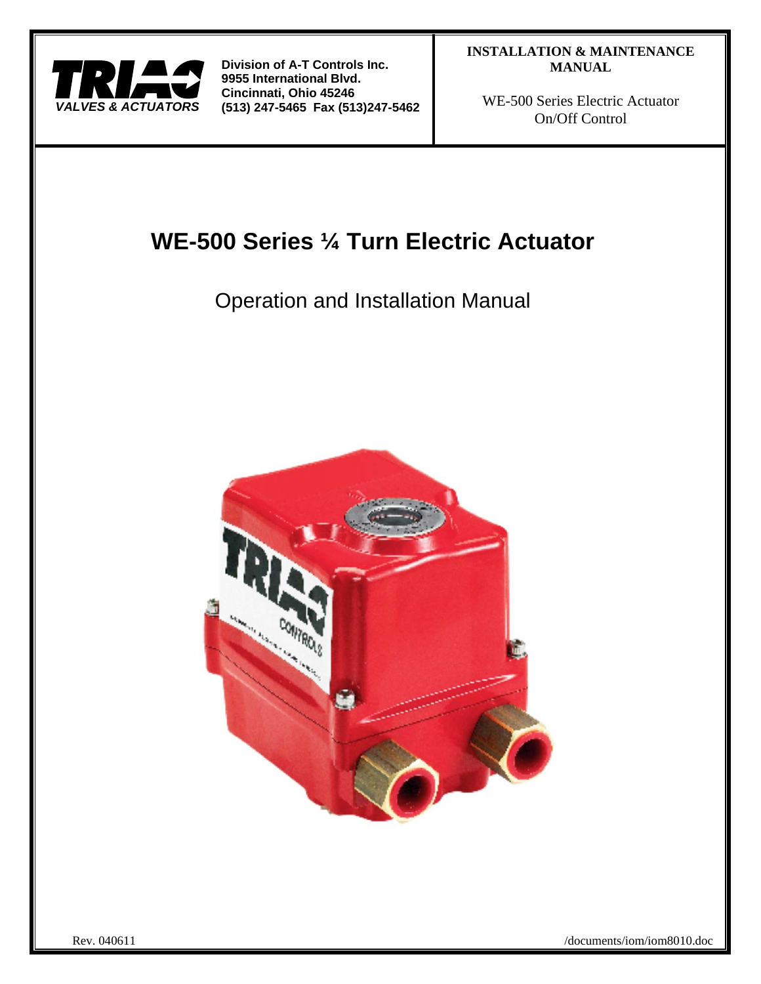

WE-500 Series Electric Actuator On/Off Control

# **WE-500 Series ¼ Turn Electric Actuator**

Operation and Installation Manual

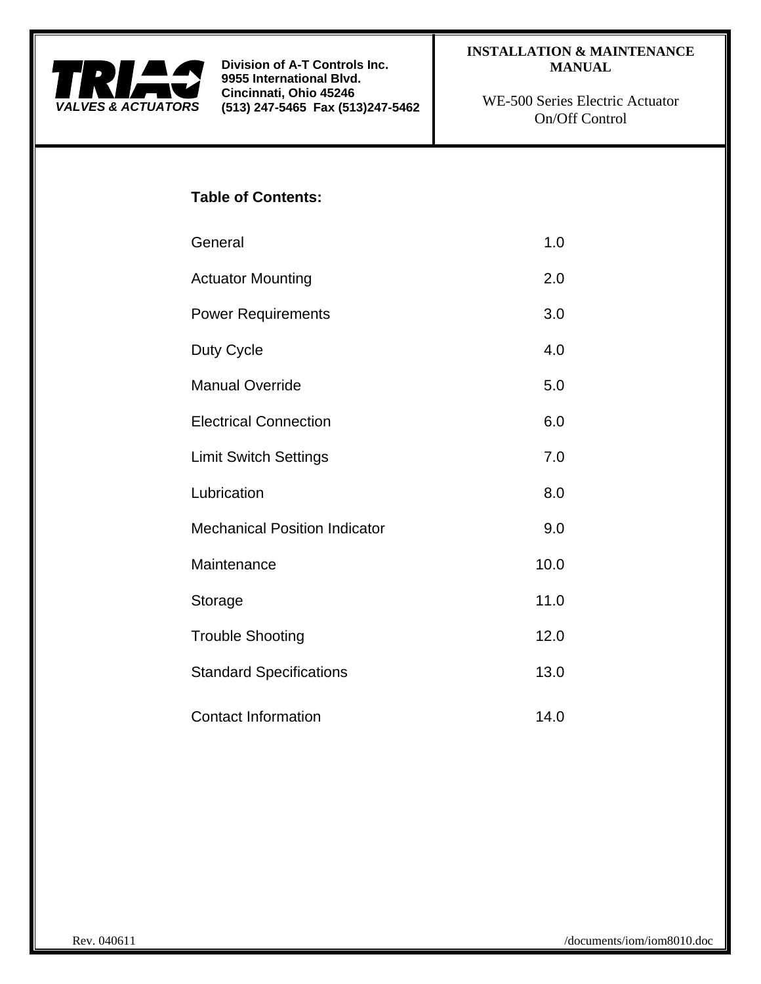

# **INSTALLATION & MAINTENANCE MANUAL**

WE-500 Series Electric Actuator On/Off Control

# **Table of Contents:**

- General 1.0 Actuator Mounting 2.0 Power Requirements 3.0
- Duty Cycle 4.0
- Manual Override 5.0
- Electrical Connection 6.0 Limit Switch Settings 7.0
- 
- Lubrication 8.0 Mechanical Position Indicator **1988** Mechanical Position Indicator Maintenance 10.0
- Storage 11.0 Trouble Shooting 12.0 Standard Specifications 13.0
- Contact Information 14.0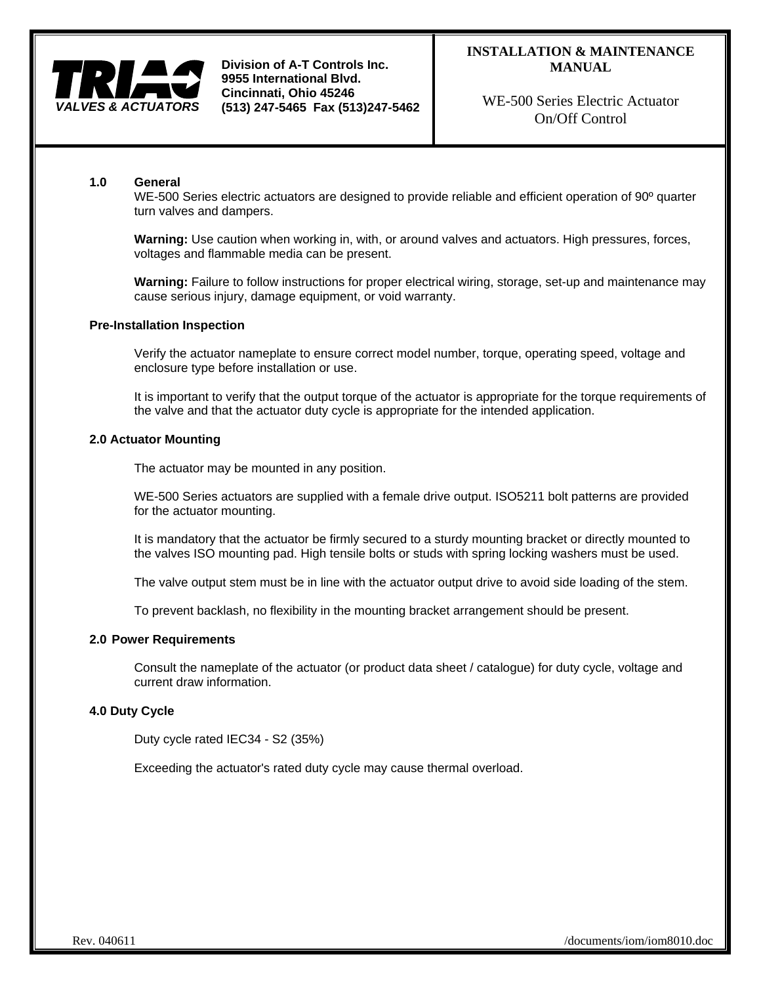

# **INSTALLATION & MAINTENANCE MANUAL**

WE-500 Series Electric Actuator On/Off Control

## **1.0 General**

WE-500 Series electric actuators are designed to provide reliable and efficient operation of 90<sup>°</sup> quarter turn valves and dampers.

**Warning:** Use caution when working in, with, or around valves and actuators. High pressures, forces, voltages and flammable media can be present.

**Warning:** Failure to follow instructions for proper electrical wiring, storage, set-up and maintenance may cause serious injury, damage equipment, or void warranty.

## **Pre-Installation Inspection**

Verify the actuator nameplate to ensure correct model number, torque, operating speed, voltage and enclosure type before installation or use.

It is important to verify that the output torque of the actuator is appropriate for the torque requirements of the valve and that the actuator duty cycle is appropriate for the intended application.

#### **2.0 Actuator Mounting**

The actuator may be mounted in any position.

WE-500 Series actuators are supplied with a female drive output. ISO5211 bolt patterns are provided for the actuator mounting.

It is mandatory that the actuator be firmly secured to a sturdy mounting bracket or directly mounted to the valves ISO mounting pad. High tensile bolts or studs with spring locking washers must be used.

The valve output stem must be in line with the actuator output drive to avoid side loading of the stem.

To prevent backlash, no flexibility in the mounting bracket arrangement should be present.

## **2.0 Power Requirements**

Consult the nameplate of the actuator (or product data sheet / catalogue) for duty cycle, voltage and current draw information.

## **4.0 Duty Cycle**

Duty cycle rated IEC34 - S2 (35%)

Exceeding the actuator's rated duty cycle may cause thermal overload.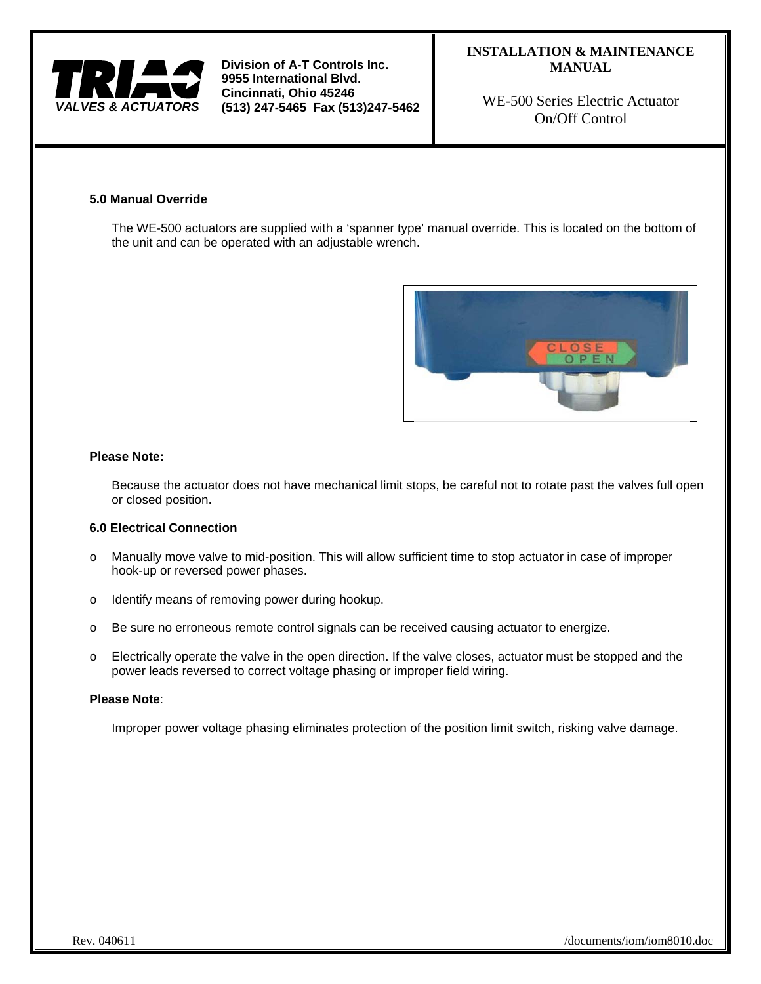

# **INSTALLATION & MAINTENANCE MANUAL**

WE-500 Series Electric Actuator On/Off Control

## **5.0 Manual Override**

The WE-500 actuators are supplied with a 'spanner type' manual override. This is located on the bottom of the unit and can be operated with an adjustable wrench.



## **Please Note:**

Because the actuator does not have mechanical limit stops, be careful not to rotate past the valves full open or closed position.

## **6.0 Electrical Connection**

- o Manually move valve to mid-position. This will allow sufficient time to stop actuator in case of improper hook-up or reversed power phases.
- o Identify means of removing power during hookup.
- o Be sure no erroneous remote control signals can be received causing actuator to energize.
- o Electrically operate the valve in the open direction. If the valve closes, actuator must be stopped and the power leads reversed to correct voltage phasing or improper field wiring.

#### **Please Note**:

Improper power voltage phasing eliminates protection of the position limit switch, risking valve damage.

Rev. 040611 /documents/iom/iom8010.doc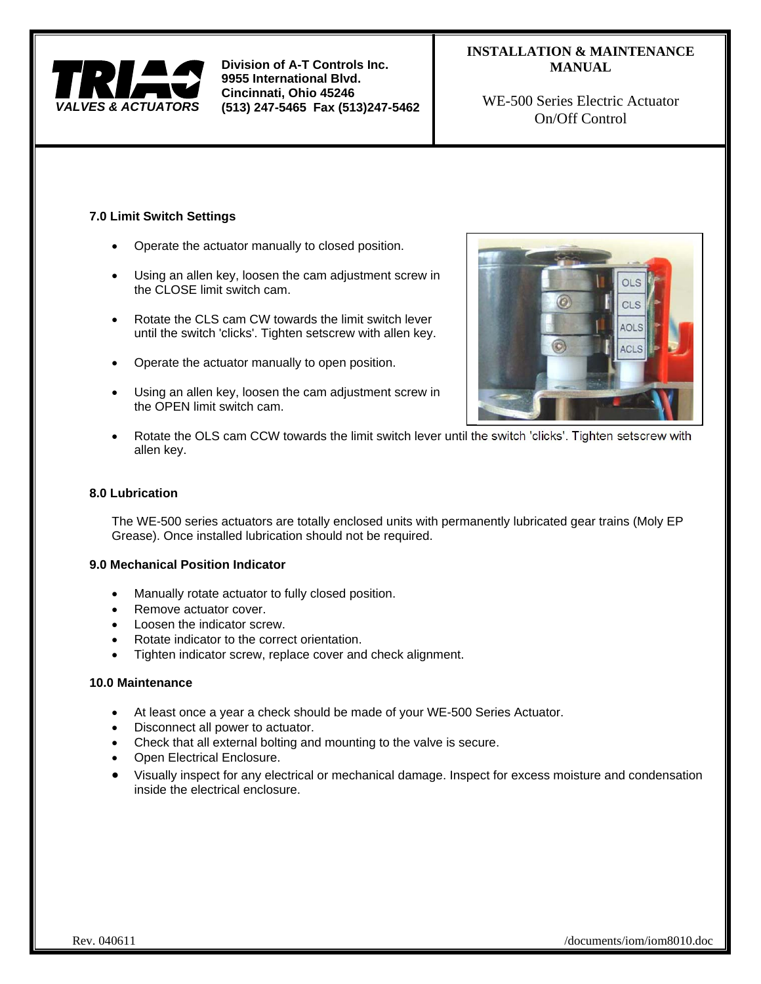

# **INSTALLATION & MAINTENANCE MANUAL**

WE-500 Series Electric Actuator On/Off Control

# **7.0 Limit Switch Settings**

- Operate the actuator manually to closed position.
- Using an allen key, loosen the cam adjustment screw in the CLOSE limit switch cam.
- Rotate the CLS cam CW towards the limit switch lever until the switch 'clicks'. Tighten setscrew with allen key.
- Operate the actuator manually to open position.
- Using an allen key, loosen the cam adjustment screw in the OPEN limit switch cam.



 Rotate the OLS cam CCW towards the limit switch lever until the switch 'clicks'. Tighten setscrew with allen key.

# **8.0 Lubrication**

The WE-500 series actuators are totally enclosed units with permanently lubricated gear trains (Moly EP Grease). Once installed lubrication should not be required.

# **9.0 Mechanical Position Indicator**

- Manually rotate actuator to fully closed position.
- Remove actuator cover.
- Loosen the indicator screw.
- Rotate indicator to the correct orientation.
- Tighten indicator screw, replace cover and check alignment.

## **10.0 Maintenance**

- At least once a year a check should be made of your WE-500 Series Actuator.
- Disconnect all power to actuator.
- Check that all external bolting and mounting to the valve is secure.
- Open Electrical Enclosure.
- Visually inspect for any electrical or mechanical damage. Inspect for excess moisture and condensation inside the electrical enclosure.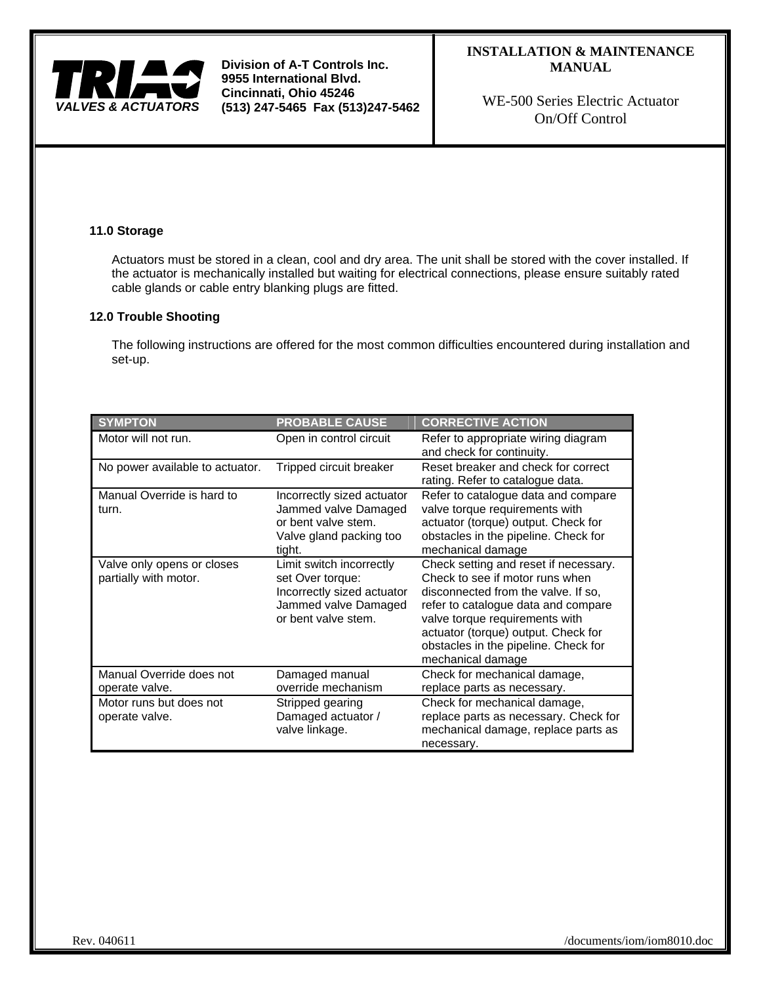

# **INSTALLATION & MAINTENANCE MANUAL**

WE-500 Series Electric Actuator On/Off Control

## **11.0 Storage**

Actuators must be stored in a clean, cool and dry area. The unit shall be stored with the cover installed. If the actuator is mechanically installed but waiting for electrical connections, please ensure suitably rated cable glands or cable entry blanking plugs are fitted.

## **12.0 Trouble Shooting**

The following instructions are offered for the most common difficulties encountered during installation and set-up.

| <b>SYMPTON</b>                                      | <b>PROBABLE CAUSE</b>                                                                                                     | <b>CORRECTIVE ACTION</b>                                                                                                                                                                                                                                                                     |
|-----------------------------------------------------|---------------------------------------------------------------------------------------------------------------------------|----------------------------------------------------------------------------------------------------------------------------------------------------------------------------------------------------------------------------------------------------------------------------------------------|
| Motor will not run.                                 | Open in control circuit                                                                                                   | Refer to appropriate wiring diagram<br>and check for continuity.                                                                                                                                                                                                                             |
| No power available to actuator.                     | Tripped circuit breaker                                                                                                   | Reset breaker and check for correct<br>rating. Refer to catalogue data.                                                                                                                                                                                                                      |
| Manual Override is hard to<br>turn.                 | Incorrectly sized actuator<br>Jammed valve Damaged<br>or bent valve stem.<br>Valve gland packing too<br>tight.            | Refer to catalogue data and compare<br>valve torque requirements with<br>actuator (torque) output. Check for<br>obstacles in the pipeline. Check for<br>mechanical damage                                                                                                                    |
| Valve only opens or closes<br>partially with motor. | Limit switch incorrectly<br>set Over torque:<br>Incorrectly sized actuator<br>Jammed valve Damaged<br>or bent valve stem. | Check setting and reset if necessary.<br>Check to see if motor runs when<br>disconnected from the valve. If so,<br>refer to catalogue data and compare<br>valve torque requirements with<br>actuator (torque) output. Check for<br>obstacles in the pipeline. Check for<br>mechanical damage |
| Manual Override does not<br>operate valve.          | Damaged manual<br>override mechanism                                                                                      | Check for mechanical damage,<br>replace parts as necessary.                                                                                                                                                                                                                                  |
| Motor runs but does not<br>operate valve.           | Stripped gearing<br>Damaged actuator /<br>valve linkage.                                                                  | Check for mechanical damage,<br>replace parts as necessary. Check for<br>mechanical damage, replace parts as<br>necessary.                                                                                                                                                                   |